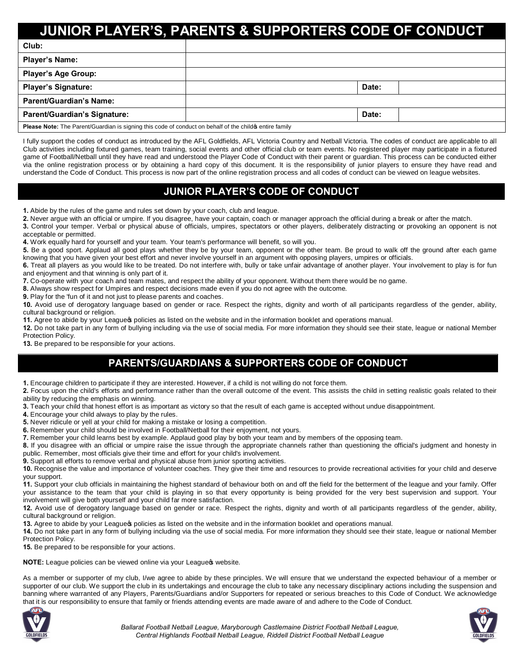# **JUNIOR PLAYER'S, PARENTS & SUPPORTERS CODE OF CONDUCT**

| Club:                                                                                                    |  |       |  |
|----------------------------------------------------------------------------------------------------------|--|-------|--|
| <b>Player's Name:</b>                                                                                    |  |       |  |
| <b>Player's Age Group:</b>                                                                               |  |       |  |
| <b>Player's Signature:</b>                                                                               |  | Date: |  |
| Parent/Guardian's Name:                                                                                  |  |       |  |
| <b>Parent/Guardian's Signature:</b>                                                                      |  | Date: |  |
| Please Note: The Parent/Guardian is signing this code of conduct on behalf of the child of entire family |  |       |  |

I fully support the codes of conduct as introduced by the AFL Goldfields, AFL Victoria Country and Netball Victoria. The codes of conduct are applicable to all Club activities including fixtured games, team training, social events and other official club or team events. No registered player may participate in a fixtured game of Football/Netball until they have read and understood the Player Code of Conduct with their parent or guardian. This process can be conducted either via the online registration process or by obtaining a hard copy of this document. It is the responsibility of junior players to ensure they have read and understand the Code of Conduct. This process is now part of the online registration process and all codes of conduct can be viewed on league websites.

### **JUNIOR PLAYER'S CODE OF CONDUCT**

**1.** Abide by the rules of the game and rules set down by your coach, club and league.

**2.** Never argue with an official or umpire. If you disagree, have your captain, coach or manager approach the official during a break or after the match.

**3.** Control your temper. Verbal or physical abuse of officials, umpires, spectators or other players, deliberately distracting or provoking an opponent is not acceptable or permitted.

**4.** Work equally hard for yourself and your team. Your team's performance will benefit, so will you.

**5.** Be a good sport. Applaud all good plays whether they be by your team, opponent or the other team. Be proud to walk off the ground after each game knowing that you have given your best effort and never involve yourself in an argument with opposing players, umpires or officials.

**6.** Treat all players as you would like to be treated. Do not interfere with, bully or take unfair advantage of another player. Your involvement to play is for fun and enjoyment and that winning is only part of it.

**7.** Co-operate with your coach and team mates, and respect the ability of your opponent. Without them there would be no game.

**8.** Always show respect for Umpires and respect decisions made even if you do not agree with the outcome.

**9.** Play for the 'fun of it and not just to please parents and coaches.

**10.** Avoid use of derogatory language based on gender or race. Respect the rights, dignity and worth of all participants regardless of the gender, ability, cultural background or religion.

11. Agree to abide by your League policies as listed on the website and in the information booklet and operations manual.

**12.** Do not take part in any form of bullying including via the use of social media. For more information they should see their state, league or national Member Protection Policy.

**13.** Be prepared to be responsible for your actions.

## **PARENTS/GUARDIANS & SUPPORTERS CODE OF CONDUCT**

**1.** Encourage children to participate if they are interested. However, if a child is not willing do not force them.

**2.** Focus upon the child's efforts and performance rather than the overall outcome of the event. This assists the child in setting realistic goals related to their ability by reducing the emphasis on winning.

**3.** Teach your child that honest effort is as important as victory so that the result of each game is accepted without undue disappointment.

**4.** Encourage your child always to play by the rules.

**5.** Never ridicule or yell at your child for making a mistake or losing a competition.

**6.** Remember your child should be involved in Football/Netball for their enjoyment, not yours.

**7.** Remember your child learns best by example. Applaud good play by both your team and by members of the opposing team.

**8.** If you disagree with an official or umpire raise the issue through the appropriate channels rather than questioning the official's judgment and honesty in public. Remember, most officials give their time and effort for your child's involvement.

**9.** Support all efforts to remove verbal and physical abuse from junior sporting activities.

**10.** Recognise the value and importance of volunteer coaches. They give their time and resources to provide recreational activities for your child and deserve your support.

**11.** Support your club officials in maintaining the highest standard of behaviour both on and off the field for the betterment of the league and your family. Offer your assistance to the team that your child is playing in so that every opportunity is being provided for the very best supervision and support. Your involvement will give both yourself and your child far more satisfaction.

**12.** Avoid use of derogatory language based on gender or race. Respect the rights, dignity and worth of all participants regardless of the gender, ability, cultural background or religion.

13. Agree to abide by your League policies as listed on the website and in the information booklet and operations manual.

**14.** Do not take part in any form of bullying including via the use of social media. For more information they should see their state, league or national Member Protection Policy.

**15.** Be prepared to be responsible for your actions.

**NOTE:** League policies can be viewed online via your League website.

As a member or supporter of my club, I/we agree to abide by these principles. We will ensure that we understand the expected behaviour of a member or supporter of our club. We support the club in its undertakings and encourage the club to take any necessary disciplinary actions including the suspension and banning where warranted of any Players, Parents/Guardians and/or Supporters for repeated or serious breaches to this Code of Conduct. We acknowledge that it is our responsibility to ensure that family or friends attending events are made aware of and adhere to the Code of Conduct.